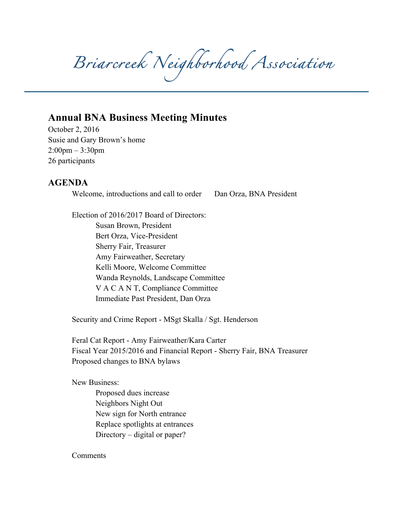*Briarcreek Neighborhood Association* 

## **Annual BNA Business Meeting Minutes**

October 2, 2016 Susie and Gary Brown's home 2:00pm – 3:30pm 26 participants

## **AGENDA**

Welcome, introductions and call to order Dan Orza, BNA President

Election of 2016/2017 Board of Directors: Susan Brown, President Bert Orza, Vice-President Sherry Fair, Treasurer Amy Fairweather, Secretary Kelli Moore, Welcome Committee Wanda Reynolds, Landscape Committee V A C A N T, Compliance Committee Immediate Past President, Dan Orza

Security and Crime Report - MSgt Skalla / Sgt. Henderson

Feral Cat Report - Amy Fairweather/Kara Carter Fiscal Year 2015/2016 and Financial Report - Sherry Fair, BNA Treasurer Proposed changes to BNA bylaws

New Business:

Proposed dues increase Neighbors Night Out New sign for North entrance Replace spotlights at entrances Directory – digital or paper?

Comments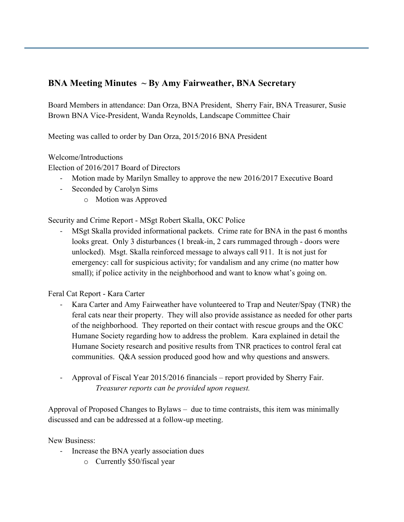## **BNA Meeting Minutes ~ By Amy Fairweather, BNA Secretary**

Board Members in attendance: Dan Orza, BNA President, Sherry Fair, BNA Treasurer, Susie Brown BNA Vice-President, Wanda Reynolds, Landscape Committee Chair

Meeting was called to order by Dan Orza, 2015/2016 BNA President

Welcome/Introductions

Election of 2016/2017 Board of Directors

- Motion made by Marilyn Smalley to approve the new 2016/2017 Executive Board
- Seconded by Carolyn Sims
	- o Motion was Approved

Security and Crime Report - MSgt Robert Skalla, OKC Police

MSgt Skalla provided informational packets. Crime rate for BNA in the past 6 months looks great. Only 3 disturbances (1 break-in, 2 cars rummaged through - doors were unlocked). Msgt. Skalla reinforced message to always call 911. It is not just for emergency: call for suspicious activity; for vandalism and any crime (no matter how small); if police activity in the neighborhood and want to know what's going on.

Feral Cat Report - Kara Carter

- Kara Carter and Amy Fairweather have volunteered to Trap and Neuter/Spay (TNR) the feral cats near their property. They will also provide assistance as needed for other parts of the neighborhood. They reported on their contact with rescue groups and the OKC Humane Society regarding how to address the problem. Kara explained in detail the Humane Society research and positive results from TNR practices to control feral cat communities. Q&A session produced good how and why questions and answers.
- Approval of Fiscal Year 2015/2016 financials report provided by Sherry Fair. *Treasurer reports can be provided upon request.*

Approval of Proposed Changes to Bylaws – due to time contraists, this item was minimally discussed and can be addressed at a follow-up meeting.

New Business:

- Increase the BNA yearly association dues
	- o Currently \$50/fiscal year